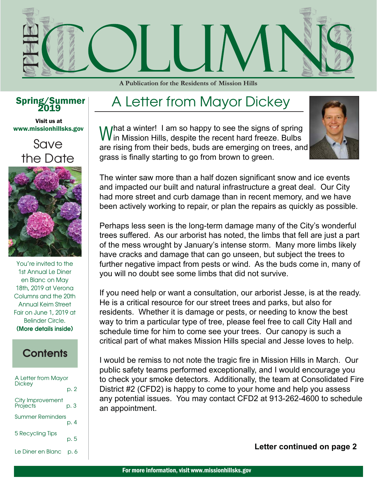

**A Publication for the Residents of Mission Hills** 

#### Spring/Summer

www.missionhillsks.gov Visit us at

#### Save the Date



You're invited to the 1st Annual Le Diner en Blanc on May 18th, 2019 at Verona Columns and the 20th Annual Keim Street Fair on June 1, 2019 at Belinder Circle. (More details inside)

#### **Contents**

| A Letter from Mayor          |      |
|------------------------------|------|
| Dickey                       | p. 2 |
| City Improvement<br>Projects | p. 3 |
| <b>Summer Reminders</b>      | p. 4 |
| 5 Recycling Tips             | p. 5 |
| Le Diner en Blanc            | p. 6 |

#### A Letter from Mayor Dickey

M / hat a winter! I am so happy to see the signs of spring  $V$  in Mission Hills, despite the recent hard freeze. Bulbs are rising from their beds, buds are emerging on trees, and grass is finally starting to go from brown to green.



The winter saw more than a half dozen significant snow and ice events and impacted our built and natural infrastructure a great deal. Our City had more street and curb damage than in recent memory, and we have been actively working to repair, or plan the repairs as quickly as possible.

Perhaps less seen is the long-term damage many of the City's wonderful trees suffered. As our arborist has noted, the limbs that fell are just a part of the mess wrought by January's intense storm. Many more limbs likely have cracks and damage that can go unseen, but subject the trees to further negative impact from pests or wind. As the buds come in, many of you will no doubt see some limbs that did not survive.

If you need help or want a consultation, our arborist Jesse, is at the ready. He is a critical resource for our street trees and parks, but also for residents. Whether it is damage or pests, or needing to know the best way to trim a particular type of tree, please feel free to call City Hall and schedule time for him to come see your trees. Our canopy is such a critical part of what makes Mission Hills special and Jesse loves to help.

I would be remiss to not note the tragic fire in Mission Hills in March. Our public safety teams performed exceptionally, and I would encourage you to check your smoke detectors. Additionally, the team at Consolidated Fire District #2 (CFD2) is happy to come to your home and help you assess any potential issues. You may contact CFD2 at 913-262-4600 to schedule an appointment.

**Letter continued on page 2**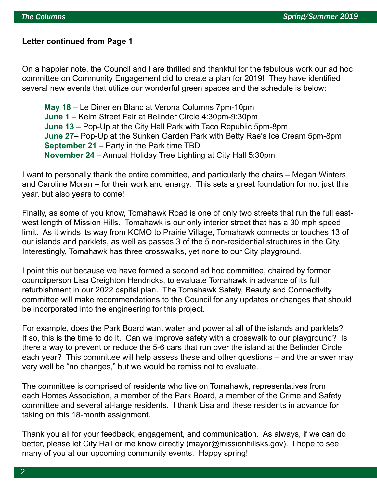#### **Letter continued from Page 1**

On a happier note, the Council and I are thrilled and thankful for the fabulous work our ad hoc committee on Community Engagement did to create a plan for 2019! They have identified several new events that utilize our wonderful green spaces and the schedule is below:

 **May 18** – Le Diner en Blanc at Verona Columns 7pm-10pm  **June 1** – Keim Street Fair at Belinder Circle 4:30pm-9:30pm  **June 13** – Pop-Up at the City Hall Park with Taco Republic 5pm-8pm  **June 27**– Pop-Up at the Sunken Garden Park with Betty Rae's Ice Cream 5pm-8pm  **September 21** – Party in the Park time TBD  **November 24** – Annual Holiday Tree Lighting at City Hall 5:30pm

I want to personally thank the entire committee, and particularly the chairs – Megan Winters and Caroline Moran – for their work and energy. This sets a great foundation for not just this year, but also years to come!

Finally, as some of you know, Tomahawk Road is one of only two streets that run the full eastwest length of Mission Hills. Tomahawk is our only interior street that has a 30 mph speed limit. As it winds its way from KCMO to Prairie Village, Tomahawk connects or touches 13 of our islands and parklets, as well as passes 3 of the 5 non-residential structures in the City. Interestingly, Tomahawk has three crosswalks, yet none to our City playground.

I point this out because we have formed a second ad hoc committee, chaired by former councilperson Lisa Creighton Hendricks, to evaluate Tomahawk in advance of its full refurbishment in our 2022 capital plan. The Tomahawk Safety, Beauty and Connectivity committee will make recommendations to the Council for any updates or changes that should be incorporated into the engineering for this project.

For example, does the Park Board want water and power at all of the islands and parklets? If so, this is the time to do it. Can we improve safety with a crosswalk to our playground? Is there a way to prevent or reduce the 5-6 cars that run over the island at the Belinder Circle each year? This committee will help assess these and other questions – and the answer may very well be "no changes," but we would be remiss not to evaluate.

The committee is comprised of residents who live on Tomahawk, representatives from each Homes Association, a member of the Park Board, a member of the Crime and Safety committee and several at-large residents. I thank Lisa and these residents in advance for taking on this 18-month assignment.

Thank you all for your feedback, engagement, and communication. As always, if we can do better, please let City Hall or me know directly (mayor@missionhillsks.gov). I hope to see many of you at our upcoming community events. Happy spring!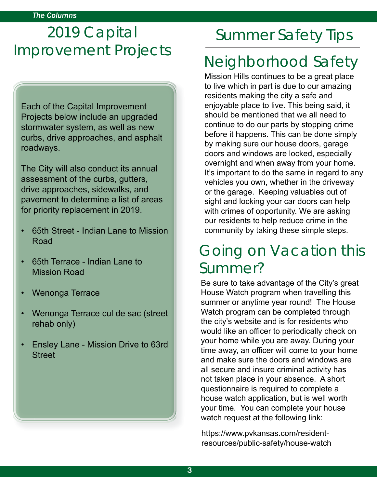# 2019 Capital Improvement Projects

Each of the Capital Improvement Projects below include an upgraded stormwater system, as well as new curbs, drive approaches, and asphalt roadways.

The City will also conduct its annual assessment of the curbs, gutters, drive approaches, sidewalks, and pavement to determine a list of areas for priority replacement in 2019.

- 65th Street Indian Lane to Mission Road
- 65th Terrace Indian Lane to Mission Road
- Wenonga Terrace
- Wenonga Terrace cul de sac (street rehab only)
- Ensley Lane Mission Drive to 63rd **Street**

# Summer Safety Tips

# Neighborhood Safety

Mission Hills continues to be a great place to live which in part is due to our amazing residents making the city a safe and enjoyable place to live. This being said, it should be mentioned that we all need to continue to do our parts by stopping crime before it happens. This can be done simply by making sure our house doors, garage doors and windows are locked, especially overnight and when away from your home. It's important to do the same in regard to any vehicles you own, whether in the driveway or the garage. Keeping valuables out of sight and locking your car doors can help with crimes of opportunity. We are asking our residents to help reduce crime in the community by taking these simple steps.

## Going on Vacation this Summer?

Be sure to take advantage of the City's great House Watch program when travelling this summer or anytime year round! The House Watch program can be completed through the city's website and is for residents who would like an officer to periodically check on your home while you are away. During your time away, an officer will come to your home and make sure the doors and windows are all secure and insure criminal activity has not taken place in your absence. A short questionnaire is required to complete a house watch application, but is well worth your time. You can complete your house watch request at the following link:

https://www.pvkansas.com/residentresources/public-safety/house-watch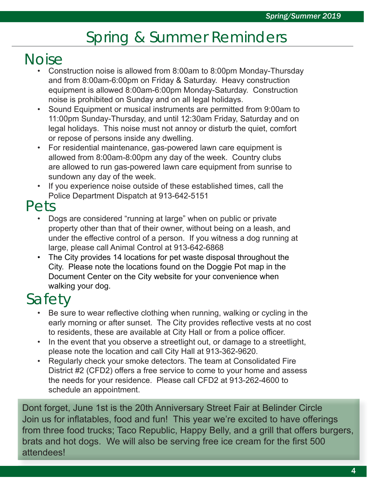# Spring & Summer Reminders

## **Noise**

- Construction noise is allowed from 8:00am to 8:00pm Monday-Thursday and from 8:00am-6:00pm on Friday & Saturday. Heavy construction equipment is allowed 8:00am-6:00pm Monday-Saturday. Construction noise is prohibited on Sunday and on all legal holidays.
- Sound Equipment or musical instruments are permitted from 9:00am to 11:00pm Sunday-Thursday, and until 12:30am Friday, Saturday and on legal holidays. This noise must not annoy or disturb the quiet, comfort or repose of persons inside any dwelling.
- For residential maintenance, gas-powered lawn care equipment is allowed from 8:00am-8:00pm any day of the week. Country clubs are allowed to run gas-powered lawn care equipment from sunrise to sundown any day of the week.
- If you experience noise outside of these established times, call the Police Department Dispatch at 913-642-5151

#### Pets

- Dogs are considered "running at large" when on public or private property other than that of their owner, without being on a leash, and under the effective control of a person. If you witness a dog running at large, please call Animal Control at 913-642-6868
- The City provides 14 locations for pet waste disposal throughout the City. Please note the locations found on the Doggie Pot map in the Document Center on the City website for your convenience when walking your dog.

# Safety

- Be sure to wear reflective clothing when running, walking or cycling in the early morning or after sunset. The City provides reflective vests at no cost to residents, these are available at City Hall or from a police officer.
- In the event that you observe a streetlight out, or damage to a streetlight, please note the location and call City Hall at 913-362-9620.
- Regularly check your smoke detectors. The team at Consolidated Fire District #2 (CFD2) offers a free service to come to your home and assess the needs for your residence. Please call CFD2 at 913-262-4600 to schedule an appointment.

Dont forget, June 1st is the 20th Anniversary Street Fair at Belinder Circle Join us for inflatables, food and fun! This year we're excited to have offerings from three food trucks; Taco Republic, Happy Belly, and a grill that offers burgers, brats and hot dogs. We will also be serving free ice cream for the first 500 attendees!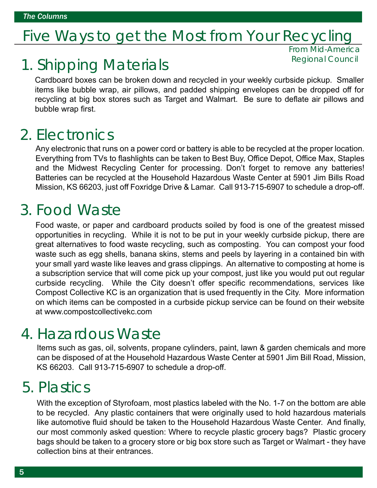#### Five Ways to get the Most from Your Recycling

## 1. Shipping Materials

From Mid-America Regional Council

Cardboard boxes can be broken down and recycled in your weekly curbside pickup. Smaller items like bubble wrap, air pillows, and padded shipping envelopes can be dropped off for recycling at big box stores such as Target and Walmart. Be sure to deflate air pillows and bubble wrap first.

#### 2. Electronics

Any electronic that runs on a power cord or battery is able to be recycled at the proper location. Everything from TVs to flashlights can be taken to Best Buy, Office Depot, Office Max, Staples and the Midwest Recycling Center for processing. Don't forget to remove any batteries! Batteries can be recycled at the Household Hazardous Waste Center at 5901 Jim Bills Road Mission, KS 66203, just off Foxridge Drive & Lamar. Call 913-715-6907 to schedule a drop-off .

#### 3. Food Waste

Food waste, or paper and cardboard products soiled by food is one of the greatest missed opportunities in recycling. While it is not to be put in your weekly curbside pickup, there are great alternatives to food waste recycling, such as composting. You can compost your food waste such as egg shells, banana skins, stems and peels by layering in a contained bin with your small yard waste like leaves and grass clippings. An alternative to composting at home is a subscription service that will come pick up your compost, just like you would put out regular curbside recycling. While the City doesn't offer specific recommendations, services like Compost Collective KC is an organization that is used frequently in the City. More information on which items can be composted in a curbside pickup service can be found on their website at www.compostcollectivekc.com

#### 4. Hazardous Waste

Items such as gas, oil, solvents, propane cylinders, paint, lawn & garden chemicals and more can be disposed of at the Household Hazardous Waste Center at 5901 Jim Bill Road, Mission, KS 66203. Call 913-715-6907 to schedule a drop-off .

#### 5. Plastics

With the exception of Styrofoam, most plastics labeled with the No. 1-7 on the bottom are able to be recycled. Any plastic containers that were originally used to hold hazardous materials like automotive fluid should be taken to the Household Hazardous Waste Center. And finally, our most commonly asked question: Where to recycle plastic grocery bags? Plastic grocery bags should be taken to a grocery store or big box store such as Target or Walmart - they have collection bins at their entrances.